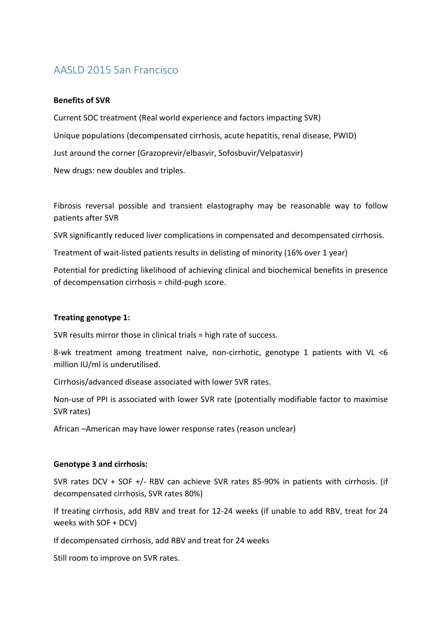# AASLD 2015 San Francisco

#### **Benefits of SVR**

Current SOC treatment (Real world experience and factors impacting SVR) Unique populations (decompensated cirrhosis, acute hepatitis, renal disease, PWID) Just around the corner (Grazoprevir/elbasvir, Sofosbuvir/Velpatasvir) New drugs: new doubles and triples.

Fibrosis reversal possible and transient elastography may be reasonable way to follow patients after SVR

SVR significantly reduced liver complications in compensated and decompensated cirrhosis.

Treatment of wait-listed patients results in delisting of minority (16% over 1 year)

Potential for predicting likelihood of achieving clinical and biochemical benefits in presence of decompensation cirrhosis  $=$  child-pugh score.

#### **Treating genotype 1:**

SVR results mirror those in clinical trials  $=$  high rate of success.

8-wk treatment among treatment naive, non-cirrhotic, genotype 1 patients with VL <6 million IU/ml is underutilised.

Cirrhosis/advanced disease associated with lower SVR rates.

Non-use of PPI is associated with lower SVR rate (potentially modifiable factor to maximise SVR rates)

African –American may have lower response rates (reason unclear)

#### **Genotype 3 and cirrhosis:**

SVR rates DCV + SOF +/- RBV can achieve SVR rates 85-90% in patients with cirrhosis. (if decompensated cirrhosis, SVR rates 80%)

If treating cirrhosis, add RBV and treat for 12-24 weeks (if unable to add RBV, treat for 24 weeks with  $SOF + DCV$ 

If decompensated cirrhosis, add RBV and treat for 24 weeks

Still room to improve on SVR rates.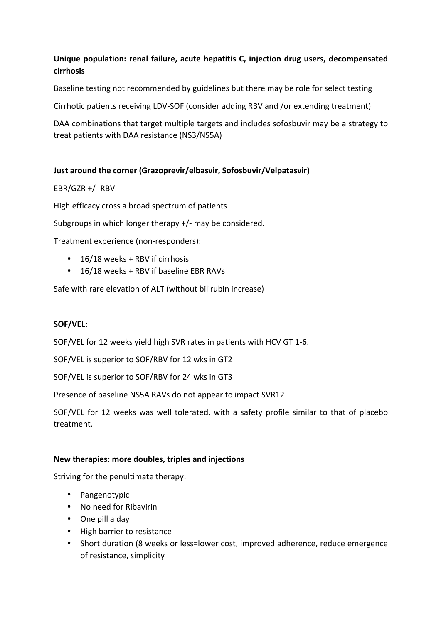## Unique population: renal failure, acute hepatitis C, injection drug users, decompensated **cirrhosis**

Baseline testing not recommended by guidelines but there may be role for select testing

Cirrhotic patients receiving LDV-SOF (consider adding RBV and /or extending treatment)

DAA combinations that target multiple targets and includes sofosbuvir may be a strategy to treat patients with DAA resistance (NS3/NS5A)

## **Just around the corner (Grazoprevir/elbasvir, Sofosbuvir/Velpatasvir)**

#### EBR/GZR +/- RBV

High efficacy cross a broad spectrum of patients

Subgroups in which longer therapy  $+/-$  may be considered.

Treatment experience (non-responders):

- $\cdot$  16/18 weeks + RBV if cirrhosis
- $\cdot$  16/18 weeks + RBV if baseline EBR RAVs

Safe with rare elevation of ALT (without bilirubin increase)

#### **SOF/VEL:**

SOF/VEL for 12 weeks yield high SVR rates in patients with HCV GT 1-6.

SOF/VEL is superior to SOF/RBV for 12 wks in GT2

SOF/VEL is superior to SOF/RBV for 24 wks in GT3

Presence of baseline NS5A RAVs do not appear to impact SVR12

SOF/VEL for 12 weeks was well tolerated, with a safety profile similar to that of placebo treatment.

#### New therapies: more doubles, triples and injections

Striving for the penultimate therapy:

- Pangenotypic
- No need for Ribavirin
- One pill a day
- High barrier to resistance
- Short duration (8 weeks or less=lower cost, improved adherence, reduce emergence of resistance, simplicity